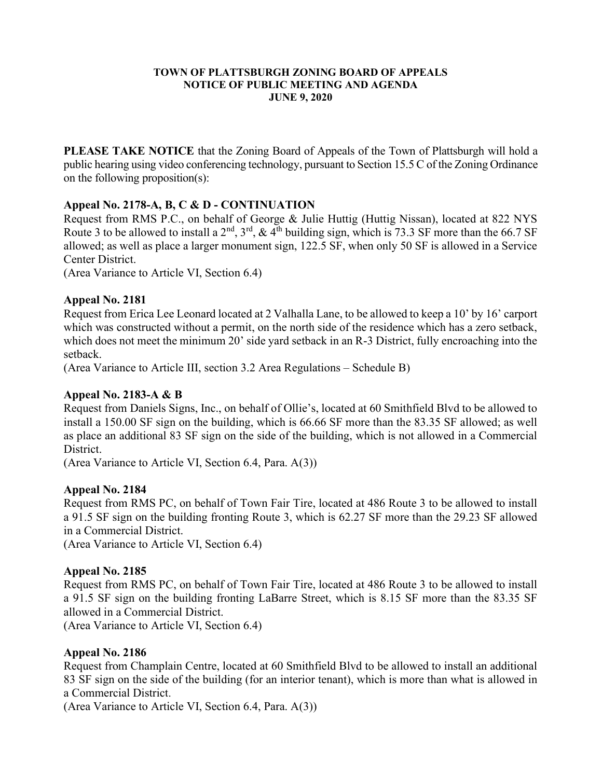#### TOWN OF PLATTSBURGH ZONING BOARD OF APPEALS NOTICE OF PUBLIC MEETING AND AGENDA JUNE 9, 2020

PLEASE TAKE NOTICE that the Zoning Board of Appeals of the Town of Plattsburgh will hold a public hearing using video conferencing technology, pursuant to Section 15.5 C of the Zoning Ordinance on the following proposition(s):

# Appeal No. 2178-A, B, C & D - CONTINUATION

Request from RMS P.C., on behalf of George & Julie Huttig (Huttig Nissan), located at 822 NYS Route 3 to be allowed to install a 2<sup>nd</sup>, 3<sup>rd</sup>, & 4<sup>th</sup> building sign, which is 73.3 SF more than the 66.7 SF allowed; as well as place a larger monument sign, 122.5 SF, when only 50 SF is allowed in a Service Center District.

(Area Variance to Article VI, Section 6.4)

# Appeal No. 2181

Request from Erica Lee Leonard located at 2 Valhalla Lane, to be allowed to keep a 10' by 16' carport which was constructed without a permit, on the north side of the residence which has a zero setback, which does not meet the minimum 20' side yard setback in an R-3 District, fully encroaching into the setback.

(Area Variance to Article III, section 3.2 Area Regulations – Schedule B)

# Appeal No. 2183-A & B

Request from Daniels Signs, Inc., on behalf of Ollie's, located at 60 Smithfield Blvd to be allowed to install a 150.00 SF sign on the building, which is 66.66 SF more than the 83.35 SF allowed; as well as place an additional 83 SF sign on the side of the building, which is not allowed in a Commercial District.

(Area Variance to Article VI, Section 6.4, Para. A(3))

# Appeal No. 2184

Request from RMS PC, on behalf of Town Fair Tire, located at 486 Route 3 to be allowed to install a 91.5 SF sign on the building fronting Route 3, which is 62.27 SF more than the 29.23 SF allowed in a Commercial District.

(Area Variance to Article VI, Section 6.4)

# Appeal No. 2185

Request from RMS PC, on behalf of Town Fair Tire, located at 486 Route 3 to be allowed to install a 91.5 SF sign on the building fronting LaBarre Street, which is 8.15 SF more than the 83.35 SF allowed in a Commercial District.

(Area Variance to Article VI, Section 6.4)

# Appeal No. 2186

Request from Champlain Centre, located at 60 Smithfield Blvd to be allowed to install an additional 83 SF sign on the side of the building (for an interior tenant), which is more than what is allowed in a Commercial District.

(Area Variance to Article VI, Section 6.4, Para. A(3))